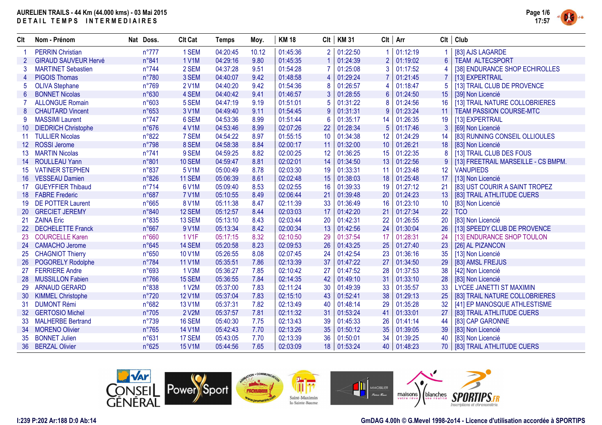

| Clt             | Nom - Prénom                | Nat Doss.      | <b>Clt Cat</b> | <b>Temps</b> | Moy.  | <b>KM18</b> | Clt            | <b>KM31</b> |                | $Clt$   Arr | Clt               | Club                                |
|-----------------|-----------------------------|----------------|----------------|--------------|-------|-------------|----------------|-------------|----------------|-------------|-------------------|-------------------------------------|
|                 | <b>PERRIN Christian</b>     | $n^{\circ}777$ | 1 SEM          | 04:20:45     | 10.12 | 01:45:36    |                | 01:22:50    | 1              | 01:12:19    |                   | [83] AJS LAGARDE                    |
|                 | <b>GIRAUD SAUVEUR Hervé</b> | n°841          | <b>1 V1M</b>   | 04:29:16     | 9.80  | 01:45:35    |                | 01:24:39    | $\overline{2}$ | 01:19:02    | $6\phantom{1}$    | <b>TEAM ALTECSPORT</b>              |
| 3               | <b>MARTINET Sebastien</b>   | n°744          | 2 SEM          | 04:37:28     | 9.51  | 01:54:28    |                | 01:25:08    | 3              | 01:17:52    | 4                 | [38] ENDURANCE SHOP ECHIROLLES      |
|                 | <b>PIGOIS Thomas</b>        | n°780          | 3 SEM          | 04:40:07     | 9.42  | 01:48:58    | $\overline{4}$ | 01:29:24    | $\overline{7}$ | 01:21:45    |                   | [13] EXPERTRAIL                     |
| 5               | <b>OLIVA Stephane</b>       | n°769          | <b>2 V1M</b>   | 04:40:20     | 9.42  | 01:54:36    | 8              | 01:26:57    | 4              | 01:18:47    | 5                 | [13] TRAIL CLUB DE PROVENCE         |
| $6\phantom{1}$  | <b>BONNET Nicolas</b>       | n°630          | 4 SEM          | 04:40:42     | 9.41  | 01:46:57    | 3              | 01:28:55    | $6\phantom{a}$ | 01:24:50    | 15                | [39] Non Licencié                   |
|                 | <b>ALLONGUE Romain</b>      | n°603          | 5 SEM          | 04:47:19     | 9.19  | 01:51:01    | 5              | 01:31:22    | 8              | 01:24:56    | 16                | [13] TRAIL NATURE COLLOBRIERES      |
| 8               | <b>CHAUTARD Vincent</b>     | n°653          | 3 V1M          | 04:49:40     | 9.11  | 01:54:45    | 9              | 01:31:31    | 9              | 01:23:24    | 11                | <b>TEAM PASSION COURSE-MTC</b>      |
| 9               | <b>MASSIMI Laurent</b>      | $n^{\circ}747$ | 6 SEM          | 04:53:36     | 8.99  | 01:51:44    | 6              | 01:35:17    | 14             | 01:26:35    | 19                | [13] EXPERTRAIL                     |
| 10 <sup>°</sup> | <b>DIEDRICH Christophe</b>  | $n^{\circ}676$ | 4 V1M          | 04:53:46     | 8.99  | 02:07:26    | 22             | 01:28:34    | 5              | 01:17:46    | 3                 | [69] Non Licencié                   |
| 11              | <b>TULLIER Nicolas</b>      | n°822          | 7 SEM          | 04:54:22     | 8.97  | 01:55:15    | 10             | 01:34:38    | 12             | 01:24:29    | 14                | [83] RUNNING CONSEIL OLLIOULES      |
| 12 <sup>2</sup> | <b>ROSSI Jerome</b>         | n°798          | 8 SEM          | 04:58:38     | 8.84  | 02:00:17    | 11             | 01:32:00    | 10             | 01:26:21    | 18                | [83] Non Licencié                   |
| 13              | <b>MARTIN Nicolas</b>       | $n^{\circ}741$ | 9 SEM          | 04:59:25     | 8.82  | 02:00:25    | 12             | 01:36:25    | 15             | 01:22:35    | 8                 | [13] TRAIL CLUB DES FOUS            |
| 14              | <b>ROULLEAU Yann</b>        | n°801          | <b>10 SEM</b>  | 04:59:47     | 8.81  | 02:02:01    | 14             | 01:34:50    | 13             | 01:22:56    | 9                 | [13] FREETRAIL MARSEILLE - CS BMPM. |
| 15              | <b>VATINER STEPHEN</b>      | n°837          | 5 V1M          | 05:00:49     | 8.78  | 02:03:30    | 19             | 01:33:31    | 11             | 01:23:48    | $12 \overline{ }$ | <b>VANUPIEDS</b>                    |
| 16              | <b>VESSEAU Damien</b>       | n°826          | 11 SEM         | 05:06:39     | 8.61  | 02:02:48    | 15             | 01:38:03    | 18             | 01:25:48    | 17                | [13] Non Licencié                   |
| 17 <sup>2</sup> | <b>GUEYFFIER Thibaud</b>    | $n^{\circ}714$ | 6 V1M          | 05:09:40     | 8.53  | 02:02:55    | 16             | 01:39:33    | 19             | 01:27:12    | 21                | [83] UST COURIR A SAINT TROPEZ      |
| 18              | <b>FABRE Frederic</b>       | n°687          | <b>7 V1M</b>   | 05:10:55     | 8.49  | 02:06:44    | 21             | 01:39:48    | 20             | 01:24:23    | 13                | [83] TRAIL ATHLITUDE CUERS          |
| 19              | <b>DE POTTER Laurent</b>    | n°665          | <b>8 V1M</b>   | 05:11:38     | 8.47  | 02:11:39    | 33             | 01:36:49    | 16             | 01:23:10    | 10                | [83] Non Licencié                   |
| <b>20</b>       | <b>GRECIET JEREMY</b>       | n°840          | 12 SEM         | 05:12:57     | 8.44  | 02:03:03    | 17             | 01:42:20    | 21             | 01:27:34    | 22                | <b>TCO</b>                          |
| 21              | <b>ZAINA Eric</b>           | n°835          | 13 SEM         | 05:13:10     | 8.43  | 02:03:44    | 20             | 01:42:31    | 22             | 01:26:55    | 20                | [83] Non Licencié                   |
| 22 <sub>2</sub> | <b>DECHELETTE Franck</b>    | n°667          | 9 V1M          | 05:13:34     | 8.42  | 02:00:34    | 13             | 01:42:56    | 24             | 01:30:04    | 26                | [13] SPEEDY CLUB DE PROVENCE        |
| 23              | <b>COURCELLE Karen</b>      | n°660          | <b>1 V1F</b>   | 05:17:15     | 8.32  | 02:10:50    | 29             | 01:37:54    | 17             | 01:28:31    | 24                | [13] ENDURANCE SHOP TOULON          |
| 24              | <b>CAMACHO Jerome</b>       | n°645          | 14 SEM         | 05:20:58     | 8.23  | 02:09:53    | 26             | 01:43:25    | 25             | 01:27:40    | 23                | [26] AL PIZANCON                    |
| 25              | <b>CHAGNIOT Thierry</b>     | n°650          | <b>10 V1M</b>  | 05:26:55     | 8.08  | 02:07:45    | 24             | 01:42:54    | 23             | 01:36:16    | 35                | [13] Non Licencié                   |
| 26              | POGORELY Rodolphe           | n°784          | <b>11 V1M</b>  | 05:35:51     | 7.86  | 02:13:39    | 37             | 01:47:22    | 27             | 01:34:50    | 29                | [83] AMSL FREJUS                    |
| 27              | <b>FERRIERE Andre</b>       | n°693          | 1 V3M          | 05:36:27     | 7.85  | 02:10:42    | 27             | 01:47:52    | 28             | 01:37:53    | 38                | [42] Non Licencié                   |
| 28              | <b>MUSSILLON Fabien</b>     | $n^{\circ}766$ | 15 SEM         | 05:36:55     | 7.84  | 02:14:35    | 42             | 01:49:10    | 31             | 01:33:10    | 28                | [83] Non Licencié                   |
| 29              | <b>ARNAUD GERARD</b>        | n°838          | 1 V2M          | 05:37:00     | 7.83  | 02:11:24    | 30             | 01:49:39    | 33             | 01:35:57    | 33                | LYCEE JANETTI ST MAXIMIN            |
| 30              | <b>KIMMEL Christophe</b>    | $n^{\circ}720$ | <b>12 V1M</b>  | 05:37:04     | 7.83  | 02:15:10    | 43             | 01:52:41    | 38             | 01:29:13    | 25                | [83] TRAIL NATURE COLLOBRIERES      |
| 31              | <b>DUMONT Rémi</b>          | n°682          | 13 V1M         | 05:37:31     | 7.82  | 02:13:49    | 40             | 01:48:14    | 29             | 01:35:28    | 32                | [41] EP MANOSQUE ATHLESTISME        |
| 32 <sup>°</sup> | <b>GERTOSIO Michel</b>      | n°705          | 2 V2M          | 05:37:57     | 7.81  | 02:11:32    | 31             | 01:53:24    | 41             | 01:33:01    | 27                | [83] TRAIL ATHLITUDE CUERS          |
| 33              | <b>MALHERBE Bertrand</b>    | n°739          | 16 SEM         | 05:40:30     | 7.75  | 02:13:43    | 39             | 01:45:33    | 26             | 01:41:14    | 44                | [83] CAP GARONNE                    |
| 34              | <b>MORENO Olivier</b>       | n°765          | <b>14 V1M</b>  | 05:42:43     | 7.70  | 02:13:26    | 35             | 01:50:12    | 35             | 01:39:05    | 39                | [83] Non Licencié                   |
| 35              | <b>BONNET Julien</b>        | n°631          | 17 SEM         | 05:43:05     | 7.70  | 02:13:39    | 36             | 01:50:01    | 34             | 01:39:25    | 40                | [83] Non Licencié                   |
|                 | 36 BERZAL Olivier           | n°625          | <b>15 V1M</b>  | 05:44:56     | 7.65  | 02:03:09    |                | 18 01:53:24 | 40             | 01:48:23    |                   | 70   [83] TRAIL ATHLITUDE CUERS     |



### **GmDAG 4.00h © G.Mevel 1998-2o14 - Licence d'utilisation accordée à SPORTIPS**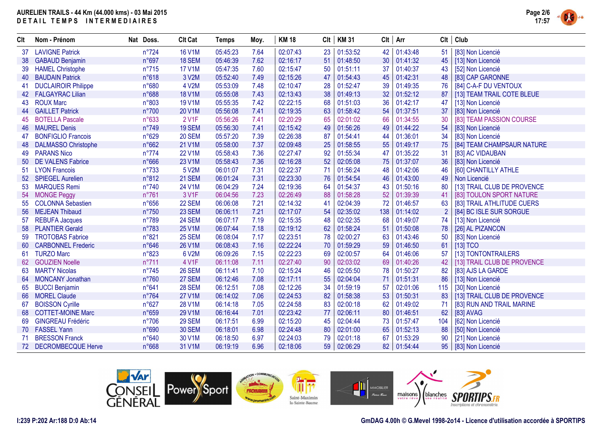

| Clt | Nom - Prénom               | Nat Doss.      | <b>Clt Cat</b> | <b>Temps</b> | Moy. | <b>KM 18</b> | Clt | <b>KM31</b> | $Clt$   Arr |             |                | $Clt$ Club                  |
|-----|----------------------------|----------------|----------------|--------------|------|--------------|-----|-------------|-------------|-------------|----------------|-----------------------------|
| 37  | <b>LAVIGNE Patrick</b>     | $n^{\circ}724$ | <b>16 V1M</b>  | 05:45:23     | 7.64 | 02:07:43     | 23  | 01:53:52    | 42          | 01:43:48    | 51             | [83] Non Licencié           |
| 38  | <b>GABAUD Benjamin</b>     | n°697          | 18 SEM         | 05:46:39     | 7.62 | 02:16:17     | 51  | 01:48:50    | 30          | 01:41:32    | 45             | [13] Non Licencié           |
| 39  | <b>HAMEL Christophe</b>    | $n^{\circ}715$ | <b>17 V1M</b>  | 05:47:35     | 7.60 | 02:15:47     | 50  | 01:51:11    | 37          | 01:40:37    | 43             | [52] Non Licencié           |
| 40  | <b>BAUDAIN Patrick</b>     | n°618          | 3 V2M          | 05:52:40     | 7.49 | 02:15:26     | 47  | 01:54:43    | 45          | 01:42:31    | 48             | [83] CAP GARONNE            |
| 41  | <b>DUCLAIROIR Philippe</b> | n°680          | 4 V2M          | 05:53:09     | 7.48 | 02:10:47     | 28  | 01:52:47    | 39          | 01:49:35    | 76             | [84] C-A-F DU VENTOUX       |
|     | 42 FALGAYRAC Lilian        | n°688          | <b>18 V1M</b>  | 05:55:08     | 7.43 | 02:13:43     | 38  | 01:49:13    | 32          | 01:52:12    | 87             | [13] TEAM TRAIL COTE BLEUE  |
|     | 43 ROUX Marc               | n°803          | <b>19 V1M</b>  | 05:55:35     | 7.42 | 02:22:15     | 68  | 01:51:03    | 36          | 01:42:17    | 47             | [13] Non Licencié           |
| 44  | <b>GAILLET Patrick</b>     | $n^{\circ}700$ | 20 V1M         | 05:56:08     | 7.41 | 02:19:35     | 63  | 01:58:42    | 54          | 01:37:51    | 37             | [83] Non Licencié           |
| 45  | <b>BOTELLA Pascale</b>     | n°633          | 2 V1F          | 05:56:26     | 7.41 | 02:20:29     | 65  | 02:01:02    | 66          | 01:34:55    | 30             | [83] TEAM PASSION COURSE    |
| 46  | <b>MAUREL Denis</b>        | n°749          | <b>19 SEM</b>  | 05:56:30     | 7.41 | 02:15:42     | 49  | 01:56:26    | 49          | 01:44:22    | 54             | [83] Non Licencié           |
| 47  | <b>BONFIGLIO Francois</b>  | n°629          | <b>20 SEM</b>  | 05:57:20     | 7.39 | 02:26:38     | 87  | 01:54:41    | 44          | 01:36:01    | 34             | [83] Non Licencié           |
| 48  | <b>DALMASSO Christophe</b> | n°662          | 21 V1M         | 05:58:00     | 7.37 | 02:09:48     | 25  | 01:58:55    | 55          | 01:49:17    | 75             | [84] TEAM CHAMPSAUR NATURE  |
| 49  | <b>PARANS Nico</b>         | $n^{\circ}774$ | <b>22 V1M</b>  | 05:58:43     | 7.36 | 02:27:47     | 92  | 01:55:34    | 47          | 01:35:22    | 31             | [83] AC VIDAUBAN            |
| 50  | <b>DE VALENS Fabrice</b>   | n°666          | 23 V1M         | 05:58:43     | 7.36 | 02:16:28     | 52  | 02:05:08    | 75          | 01:37:07    | 36             | [83] Non Licencié           |
| 51  | <b>LYON Francois</b>       | n°733          | 5 V2M          | 06:01:07     | 7.31 | 02:22:37     | 71  | 01:56:24    | 48          | 01:42:06    | 46             | [60] CHANTILLY ATHLE        |
|     | 52 SPIEGEL Aurelien        | n°812          | 21 SEM         | 06:01:24     | 7.31 | 02:23:30     | 76  | 01:54:54    | 46          | 01:43:00    | 49             | Non Licencié                |
| 53  | <b>MARQUES Remi</b>        | $n^{\circ}740$ | 24 V1M         | 06:04:29     | 7.24 | 02:19:36     | 64  | 01:54:37    | 43          | 01:50:16    | 80             | [13] TRAIL CLUB DE PROVENCE |
|     | 54 MONGE Peggy             | n°761          | 3 V1F          | 06:04:56     | 7.23 | 02:26:49     | 88  | 01:58:28    | 52          | 01:39:39    | 41             | [83] TOULON SPORT NATURE    |
| 55  | <b>COLONNA Sebastien</b>   | $n^{\circ}656$ | 22 SEM         | 06:06:08     | 7.21 | 02:14:32     | 41  | 02:04:39    | 72          | 01:46:57    | 63             | [83] TRAIL ATHLITUDE CUERS  |
| 56  | <b>MEJEAN Thibaud</b>      | $n^{\circ}750$ | 23 SEM         | 06:06:11     | 7.21 | 02:17:07     | 54  | 02:35:02    | 138         | 01:14:02    | $\overline{2}$ | [84] BC ISLE SUR SORGUE     |
| 57  | <b>REBUFA Jacques</b>      | n°789          | 24 SEM         | 06:07:17     | 7.19 | 02:15:35     | 48  | 02:02:35    | 68          | 01:49:07    | 74             | [13] Non Licencié           |
| 58  | <b>PLANTIER Gerald</b>     | n°783          | 25 V1M         | 06:07:44     | 7.18 | 02:19:12     | 62  | 01:58:24    | 51          | 01:50:08    | 78             | [26] AL PIZANCON            |
| 59  | <b>TROTOBAS Fabrice</b>    | n°821          | <b>25 SEM</b>  | 06:08:04     | 7.17 | 02:23:51     | 78  | 02:00:27    | 63          | 01:43:46    | 50             | [83] Non Licencié           |
| 60  | <b>CARBONNEL Frederic</b>  | n°646          | <b>26 V1M</b>  | 06:08:43     | 7.16 | 02:22:24     | 70  | 01:59:29    | 59          | 01:46:50    | 61             | $[13]$ TCO                  |
| 61  | <b>TURZO Marc</b>          | n°823          | 6 V2M          | 06:09:26     | 7.15 | 02:22:23     | 69  | 02:00:57    | 64          | 01:46:06    | 57             | [13] TONTONTRAILERS         |
| 62  | <b>GOUZIEN Noelle</b>      | $n^{\circ}711$ | 4 V1F          | 06:11:08     | 7.11 | 02:27:40     | 90  | 02:03:02    | 69          | 01:40:26    | 42             | [13] TRAIL CLUB DE PROVENCE |
| 63  | <b>MARTY Nicolas</b>       | $n^{\circ}745$ | <b>26 SEM</b>  | 06:11:41     | 7.10 | 02:15:24     | 46  | 02:05:50    | 78          | 01:50:27    | 82             | [83] AJS LA GARDE           |
|     | 64 MONCANY Jonathan        | n°760          | 27 SEM         | 06:12:46     | 7.08 | 02:17:11     | 55  | 02:04:04    | 71          | 01:51:31    | 86             | [13] Non Licencié           |
| 65  | <b>BUCCI Benjamin</b>      | n°641          | <b>28 SEM</b>  | 06:12:51     | 7.08 | 02:12:26     | 34  | 01:59:19    | 57          | 02:01:06    | 115            | [30] Non Licencié           |
| 66  | <b>MOREL Claude</b>        | $n^{\circ}764$ | <b>27 V1M</b>  | 06:14:02     | 7.06 | 02:24:53     | 82  | 01:58:38    | 53          | 01:50:31    | 83             | [13] TRAIL CLUB DE PROVENCE |
| 67  | <b>BOISSON Cyrille</b>     | $n^{\circ}627$ | <b>28 V1M</b>  | 06:14:18     | 7.05 | 02:24:58     | 83  | 02:00:18    | 62          | 01:49:02    | 71             | [83] RUN AND TRAIL MARINE   |
| 68  | <b>COTTET-MOINE Marc</b>   | n°659          | 29 V1M         | 06:16:44     | 7.01 | 02:23:42     | 77  | 02:06:11    | 80          | 01:46:51    | 62             | [83] AVAG                   |
| 69  | <b>GINGREAU Frédéric</b>   | $n^{\circ}706$ | <b>29 SEM</b>  | 06:17:51     | 6.99 | 02:15:20     | 45  | 02:04:44    | 73          | 01:57:47    | 104            | [62] Non Licencié           |
|     | 70 FASSEL Yann             | n°690          | <b>30 SEM</b>  | 06:18:01     | 6.98 | 02:24:48     | 80  | 02:01:00    | 65          | 01:52:13    | 88             | [50] Non Licencié           |
| 71  | <b>BRESSON Franck</b>      | n°640          | 30 V1M         | 06:18:50     | 6.97 | 02:24:03     | 79  | 02:01:18    | 67          | 01:53:29    | 90             | [21] Non Licencié           |
|     | 72 DECROMBECQUE Herve      | n°668          | 31 V1M         | 06:19:19     | 6.96 | 02:18:06     |     | 59 02:06:29 |             | 82 01:54:44 | 95             | [83] Non Licencié           |

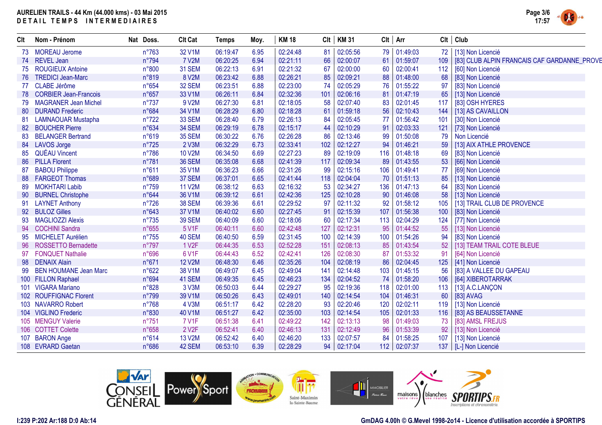

| Clt | Nom - Prénom                 | Nat Doss.      | <b>Clt Cat</b>     | <b>Temps</b> | Moy. | <b>KM18</b> | Clt | <b>KM31</b> |     | $Clt$ Arr    | Clt | Club                                        |
|-----|------------------------------|----------------|--------------------|--------------|------|-------------|-----|-------------|-----|--------------|-----|---------------------------------------------|
|     | 73 MOREAU Jerome             | $n^{\circ}763$ | 32 V1M             | 06:19:47     | 6.95 | 02:24:48    | 81  | 02:05:56    | 79  | 01:49:03     | 72  | [13] Non Licencié                           |
|     | 74 REVEL Jean                | n°794          | <b>7 V2M</b>       | 06:20:25     | 6.94 | 02:21:11    | 66  | 02:00:07    | 61  | 01:59:07     | 109 | [83] CLUB ALPIN FRANCAIS CAF GARDANNE_PROVE |
| 75  | <b>ROUGIEUX Antoine</b>      | n°800          | 31 SEM             | 06:22:13     | 6.91 | 02:21:32    | 67  | 02:00:00    | 60  | 02:00:41     | 112 | [60] Non Licencié                           |
| 76  | <b>TREDICI Jean-Marc</b>     | n°819          | 8 V2M              | 06:23:42     | 6.88 | 02:26:21    | 85  | 02:09:21    | 88  | 01:48:00     | 68  | [83] Non Licencié                           |
|     | 77 CLABE Jérôme              | $n^{\circ}654$ | 32 SEM             | 06:23:51     | 6.88 | 02:23:00    | 74  | 02:05:29    | 76  | 01:55:22     | 97  | [83] Non Licencié                           |
|     | 78 CORBIER Jean-Francois     | n°657          | 33 V1M             | 06:26:11     | 6.84 | 02:32:36    | 101 | 02:06:16    | 81  | 01:47:19     | 65  | [13] Non Licencié                           |
| 79  | <b>MAGRANER Jean Michel</b>  | $n^{\circ}737$ | 9 V2M              | 06:27:30     | 6.81 | 02:18:05    | 58  | 02:07:40    | 83  | 02:01:45     | 117 | [83] OSH HYERES                             |
| 80  | <b>DURAND Frederic</b>       | n°684          | 34 V1M             | 06:28:29     | 6.80 | 02:18:28    | 61  | 01:59:18    | 56  | 02:10:43     | 144 | [13] AS CAVAILLON                           |
| -81 | <b>LAMNAOUAR Mustapha</b>    | $n^{\circ}722$ | 33 SEM             | 06:28:40     | 6.79 | 02:26:13    | 84  | 02:05:45    | 77  | 01:56:42     | 101 | [30] Non Licencié                           |
| 82  | <b>BOUCHER Pierre</b>        | n°634          | 34 SEM             | 06:29:19     | 6.78 | 02:15:17    | 44  | 02:10:29    | 91  | 02:03:33     | 121 | [73] Non Licencié                           |
| 83  | <b>BELANGER Bertrand</b>     | n°619          | 35 SEM             | 06:30:22     | 6.76 | 02:26:28    | 86  | 02:13:46    | 99  | 01:50:08     | 79  | Non Licencié                                |
|     | 84 LAVOS Jorge               | $n^{\circ}725$ | 2 V3M              | 06:32:29     | 6.73 | 02:33:41    | 102 | 02:12:27    | 94  | 01:46:21     | 59  | [13] AIX ATHLE PROVENCE                     |
| 85  | <b>QUÉAU Vincent</b>         | $n^{\circ}786$ | 10 V2M             | 06:34:50     | 6.69 | 02:27:23    | 89  | 02:19:09    | 116 | 01:48:18     | 69  | [83] Non Licencié                           |
| 86  | <b>PILLA Florent</b>         | n°781          | <b>36 SEM</b>      | 06:35:08     | 6.68 | 02:41:39    | 117 | 02:09:34    | 89  | 01:43:55     | 53  | [66] Non Licencié                           |
| 87  | <b>BABOU Philippe</b>        | n°611          | 35 V1M             | 06:36:23     | 6.66 | 02:31:26    | 99  | 02:15:16    | 106 | 01:49:41     | 77  | [69] Non Licencié                           |
| 88  | <b>FARGEOT Thomas</b>        | n°689          | 37 SEM             | 06:37:01     | 6.65 | 02:41:44    | 118 | 02:04:04    | 70  | 01:51:13     | 85  | [13] Non Licencié                           |
| 89  | <b>MOKHTARI Labib</b>        | n°759          | <b>11 V2M</b>      | 06:38:12     | 6.63 | 02:16:32    | 53  | 02:34:27    | 136 | 01:47:13     | 64  | [83] Non Licencié                           |
| 90  | <b>BURNEL Christophe</b>     | n°644          | 36 V1M             | 06:39:12     | 6.61 | 02:42:36    | 125 | 02:10:28    | 90  | 01:46:08     | 58  | [13] Non Licencié                           |
| 91  | <b>LAYNET Anthony</b>        | $n^{\circ}726$ | <b>38 SEM</b>      | 06:39:36     | 6.61 | 02:29:52    | 97  | 02:11:32    | 92  | 01:58:12     | 105 | [13] TRAIL CLUB DE PROVENCE                 |
| 92  | <b>BULOZ Gilles</b>          | n°643          | 37 V1M             | 06:40:02     | 6.60 | 02:27:45    | 91  | 02:15:39    | 107 | 01:56:38     | 100 | [83] Non Licencié                           |
| 93  | <b>MAGLIOZZI Alexis</b>      | $n^{\circ}735$ | <b>39 SEM</b>      | 06:40:09     | 6.60 | 02:18:06    | 60  | 02:17:34    | 113 | 02:04:29     | 124 | [77] Non Licencié                           |
| 94  | <b>COCHINI Sandra</b>        | $n^{\circ}655$ | 5 V1F              | 06:40:11     | 6.60 | 02:42:48    | 127 | 02:12:31    | 95  | 01:44:52     | 55  | [13] Non Licencié                           |
| 95  | MICHELET Aurélien            | $n^{\circ}755$ | 40 SEM             | 06:40:50     | 6.59 | 02:31:45    | 100 | 02:14:39    | 100 | 01:54:26     | 94  | [83] Non Licencié                           |
| 96  | <b>ROSSETTO Bernadette</b>   | $n^{\circ}797$ | 1 V <sub>2</sub> F | 06:44:35     | 6.53 | 02:52:28    | 151 | 02:08:13    | 85  | 01:43:54     | 52  | [13] TEAM TRAIL COTE BLEUE                  |
| 97  | <b>FONQUET Nathalie</b>      | n°696          | 6 V1F              | 06:44:43     | 6.52 | 02:42:41    | 126 | 02:08:30    | 87  | 01:53:32     | 91  | [64] Non Licencié                           |
| 98  | <b>DENAIX Alain</b>          | n°671          | <b>12 V2M</b>      | 06:48:30     | 6.46 | 02:35:26    | 104 | 02:08:19    | 86  | 02:04:45     | 125 | [41] Non Licencié                           |
| 99  | <b>BEN HOUMANE Jean Marc</b> | n°622          | 38 V1M             | 06:49:07     | 6.45 | 02:49:04    | 141 | 02:14:48    | 103 | 01:45:15     | 56  | [83] A VALLEE DU GAPEAU                     |
|     | 100 FILLON Raphael           | n°694          | 41 SEM             | 06:49:35     | 6.45 | 02:46:23    | 134 | 02:04:52    | 74  | 01:58:20     | 106 | [64] XIBEROTARRAK                           |
|     | 101 VIGARA Mariano           | n°828          | 3 V3M              | 06:50:03     | 6.44 | 02:29:27    | 95  | 02:19:36    | 118 | 02:01:00     | 113 | [13] A.C.LANÇON                             |
|     | 102 ROUFFIGNAC Florent       | n°799          | 39 V1M             | 06:50:26     | 6.43 | 02:49:01    | 140 | 02:14:54    | 104 | 01:46:31     | 60  | [83] AVAG                                   |
|     | 103 NAVARRO Robert           | $n^{\circ}768$ | 4 V3M              | 06:51:17     | 6.42 | 02:28:20    | 93  | 02:20:46    | 120 | 02:02:11     | 119 | [13] Non Licencié                           |
|     | 104 VIGLINO Frederic         | n°830          | 40 V1M             | 06:51:27     | 6.42 | 02:35:00    | 103 | 02:14:54    | 105 | 02:01:33     | 116 | [83] AS BEAUSSETANNE                        |
|     | 105 MENGUY Valerie           | $n^{\circ}751$ | <b>7 V1F</b>       | 06:51:38     | 6.41 | 02:49:22    | 142 | 02:13:13    | 98  | 01:49:03     | 73  | [83] AMSL FREJUS                            |
|     | 106 COTTET Colette           | $n^{\circ}658$ | 2 V <sub>2</sub> F | 06:52:41     | 6.40 | 02:46:13    | 131 | 02:12:49    | 96  | 01:53:39     | 92  | [13] Non Licencié                           |
|     | 107 BARON Ange               | n°614          | 13 V2M             | 06:52:42     | 6.40 | 02:46:20    | 133 | 02:07:57    | 84  | 01:58:25     | 107 | [13] Non Licencié                           |
|     | 108 EVRARD Gaetan            | $n^{\circ}686$ | 42 SEM             | 06:53:10     | 6.39 | 02:28:29    | 94  | 02:17:04    |     | 112 02:07:37 | 137 | [L-] Non Licencié                           |
|     |                              |                |                    |              |      |             |     |             |     |              |     |                                             |

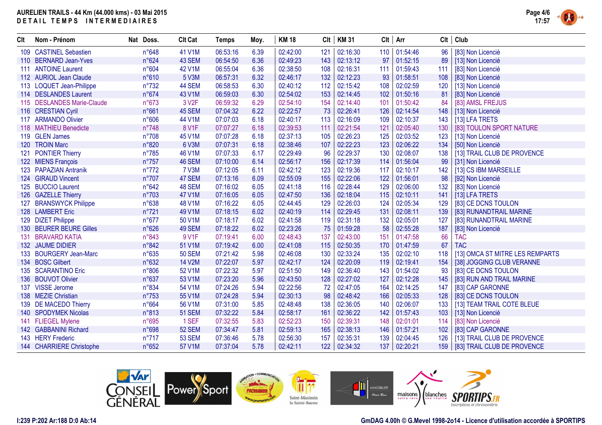

| Clt | Nom - Prénom               | Nat Doss.      | <b>Clt Cat</b>     | <b>Temps</b> | Moy. | <b>KM18</b> | Clt | KM 31        | $Clt$ Arr |          | Clt              | Club                              |
|-----|----------------------------|----------------|--------------------|--------------|------|-------------|-----|--------------|-----------|----------|------------------|-----------------------------------|
|     | 109 CASTINEL Sebastien     | n°648          | 41 V1M             | 06:53:16     | 6.39 | 02:42:00    | 121 | 02:16:30     | 110       | 01:54:46 | 96               | [83] Non Licencié                 |
|     | 110 BERNARD Jean-Yves      | n°624          | 43 SEM             | 06:54:50     | 6.36 | 02:49:23    | 143 | 02:13:12     | 97        | 01:52:15 | 89               | [13] Non Licencié                 |
|     | 111 ANTOINE Laurent        | n°604          | <b>42 V1M</b>      | 06:55:04     | 6.36 | 02:38:50    | 108 | 02:16:31     | 111       | 01:59:43 | 111              | [83] Non Licencié                 |
|     | 112 AURIOL Jean Claude     | n°610          | 5 V3M              | 06:57:31     | 6.32 | 02:46:17    | 132 | 02:12:23     | 93        | 01:58:51 | 108              | [83] Non Licencié                 |
|     | 113 LOQUET Jean-Philippe   | $n^{\circ}732$ | 44 SEM             | 06:58:53     | 6.30 | 02:40:12    | 112 | 02:15:42     | 108       | 02:02:59 | 120              | [13] Non Licencié                 |
|     | 114 DESLANDES Laurent      | n°674          | 43 V1M             | 06:59:03     | 6.30 | 02:54:02    | 153 | 02:14:45     | 102       | 01:50:16 | 81               | [83] Non Licencié                 |
|     | 115 DESLANDES Marie-Claude | n°673          | 3 V <sub>2</sub> F | 06:59:32     | 6.29 | 02:54:10    | 154 | 02:14:40     | 101       | 01:50:42 | 84               | [83] AMSL FREJUS                  |
|     | 116 CRESTIAN Cyril         | n°661          | 45 SEM             | 07:04:32     | 6.22 | 02:22:57    | 73  | 02:26:41     | 126       | 02:14:54 | 148              | [13] Non Licencié                 |
|     | 117 ARMANDO Olivier        | n°606          | 44 V1M             | 07:07:03     | 6.18 | 02:40:17    | 113 | 02:16:09     | 109       | 02:10:37 | 143              | [13] LFA TRETS                    |
|     | 118 MATHIEU Benedicte      | n°748          | 8 V1F              | 07:07:27     | 6.18 | 02:39:53    | 111 | 02:21:54     | 121       | 02:05:40 | 130              | [83] TOULON SPORT NATURE          |
|     | 119 GLEN James             | $n^{\circ}708$ | 45 V1M             | 07:07:28     | 6.18 | 02:37:13    | 105 | 02:26:23     | 125       | 02:03:52 | 123              | [13] Non Licencié                 |
|     | 120 TROIN Marc             | n°820          | 6 V3M              | 07:07:31     | 6.18 | 02:38:46    | 107 | 02:22:23     | 123       | 02:06:22 | 134              | [50] Non Licencié                 |
|     | 121 PONTIER Thierry        | $n^{\circ}785$ | 46 V1M             | 07:07:33     | 6.17 | 02:29:49    | 96  | 02:29:37     | 130       | 02:08:07 | 138              | [13] TRAIL CLUB DE PROVENCE       |
|     | 122 MIENS François         | $n^{\circ}757$ | 46 SEM             | 07:10:00     | 6.14 | 02:56:17    | 156 | 02:17:39     | 114       | 01:56:04 | 99               | [31] Non Licencié                 |
|     | 123 PAPAZIAN Antranik      | $n^{\circ}772$ | 7 V3M              | 07:12:05     | 6.11 | 02:42:12    | 123 | 02:19:36     | 117       | 02:10:17 | 142              | [13] CS IBM MARSEILLE             |
|     | 124 GIRAUD Vincent         | $n^{\circ}707$ | 47 SEM             | 07:13:16     | 6.09 | 02:55:09    | 155 | 02:22:06     | 122       | 01:56:01 | 98               | [92] Non Licencié                 |
|     | 125 BUCCIO Laurent         | n°642          | 48 SEM             | 07:16:02     | 6.05 | 02:41:18    | 116 | 02:28:44     | 129       | 02:06:00 | 132              | [83] Non Licencié                 |
|     | 126 GAZELLE Thierry        | n°703          | 47 V1M             | 07:16:05     | 6.05 | 02:47:50    | 136 | 02:18:04     | 115       | 02:10:11 | 141              | [13] LFA TRETS                    |
|     | 127 BRANSWYCK Philippe     | n°638          | 48 V1M             | 07:16:22     | 6.05 | 02:44:45    | 129 | 02:26:03     | 124       | 02:05:34 | 129              | [83] CE DCNS TOULON               |
|     | 128 LAMBERT Eric           | n°721          | 49 V1M             | 07:18:15     | 6.02 | 02:40:19    | 114 | 02:29:45     | 131       | 02:08:11 | 139              | [83] RUNANDTRAIL MARINE           |
|     | 129 DIZET Philippe         | $n^{\circ}677$ | 50 V1M             | 07:18:17     | 6.02 | 02:41:58    | 119 | 02:31:18     | 132       | 02:05:01 | 127              | [83] RUNANDTRAIL MARINE           |
|     | 130 BEURER BEURE Gilles    | n°626          | 49 SEM             | 07:18:22     | 6.02 | 02:23:26    | 75  | 01:59:28     | 58        | 02:55:28 | 187              | [83] Non Licencié                 |
|     | 131 BRAVARD KATIA          | n°843          | 9 V1F              | 07:19:41     | 6.00 | 02:48:43    | 137 | 02:43:00     | 151       | 01:47:58 | 66               | <b>TAC</b>                        |
|     | 132 JAUME DIDIER           | n°842          | 51 V1M             | 07:19:42     | 6.00 | 02:41:08    | 115 | 02:50:35     | 170       | 01:47:59 | 67               | <b>TAC</b>                        |
|     | 133 BOURGERY Jean-Marc     | $n^{\circ}635$ | <b>50 SEM</b>      | 07:21:42     | 5.98 | 02:46:08    | 130 | 02:33:24     | 135       | 02:02:10 | 118              | [13] OMCA ST MITRE LES REMPARTS   |
|     | 134 BOSC Gilbert           | n°632          | <b>14 V2M</b>      | 07:22:07     | 5.97 | 02:42:17    | 124 | 02:20:09     | 119       | 02:19:41 | 154              | [38] JOGGING CLUB VERANNE         |
|     | 135 SCARANTINO Eric        | n°806          | 52 V1M             | 07:22:32     | 5.97 | 02:51:50    | 149 | 02:36:40     | 143       | 01:54:02 | 93               | [83] CE DCNS TOULON               |
|     | 136 BOUVOT Olivier         | n°637          | 53 V1M             | 07:23:20     | 5.96 | 02:43:50    | 128 | 02:27:02     | 127       | 02:12:28 | 145              | [83] RUN AND TRAIL MARINE         |
|     | 137 VISSE Jerome           | n°834          | 54 V1M             | 07:24:26     | 5.94 | 02:22:56    | 72  | 02:47:05     | 164       | 02:14:25 | 147              | [83] CAP GARONNE                  |
|     | 138 MEZIE Christian        | $n^{\circ}753$ | 55 V1M             | 07:24:28     | 5.94 | 02:30:13    | 98  | 02:48:42     | 166       | 02:05:33 | 128              | [83] CE DCNS TOULON               |
|     | 139 DE MACEDO Thierry      | n°664          | 56 V1M             | 07:31:00     | 5.85 | 02:48:48    | 138 | 02:36:05     | 140       | 02:06:07 | 133              | [13] TEAM TRAIL COTE BLEUE        |
|     | 140 SPODYMEK Nicolas       | n°813          | <b>51 SEM</b>      | 07:32:22     | 5.84 | 02:58:17    | 161 | 02:36:22     | 142       | 01:57:43 | 103              | [13] Non Licencié                 |
|     | 141 FLIEGEL Mylene         | n°695          | 1 SEF              | 07:32:55     | 5.83 | 02:52:23    | 150 | 02:39:31     | 148       | 02:01:01 | 114              | [83] Non Licencié                 |
|     | 142 GABBANINI Richard      | n°698          | 52 SEM             | 07:34:47     | 5.81 | 02:59:13    | 165 | 02:38:13     | 146       | 01:57:21 | 102 <sub>1</sub> | [83] CAP GARONNE                  |
|     | 143 HERY Frederic          | $n^{\circ}717$ | <b>53 SEM</b>      | 07:36:46     | 5.78 | 02:56:30    | 157 | 02:35:31     | 139       | 02:04:45 | 126              | [13] TRAIL CLUB DE PROVENCE       |
|     | 144 CHARRIERE Christophe   | n°652          | 57 V1M             | 07:37:04     | 5.78 | 02:42:11    |     | 122 02:34:32 | 137       | 02:20:21 |                  | 159   [83] TRAIL CLUB DE PROVENCE |

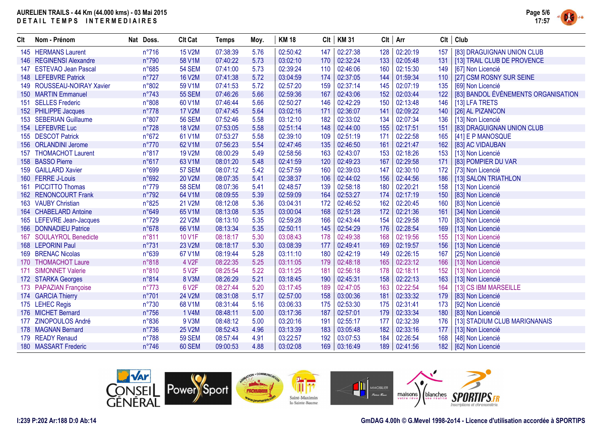

| Clt | Nom - Prénom               | Nat Doss.      | <b>Clt Cat</b>     | <b>Temps</b> | Moy. | <b>KM 18</b> |     | $Clt$   KM 31 |     | $Clt$ Arr | Clt | Club                                |
|-----|----------------------------|----------------|--------------------|--------------|------|--------------|-----|---------------|-----|-----------|-----|-------------------------------------|
|     | 145 HERMANS Laurent        | $n^{\circ}716$ | 15 V2M             | 07:38:39     | 5.76 | 02:50:42     | 147 | 02:27:38      | 128 | 02:20:19  | 157 | [83] DRAGUIGNAN UNION CLUB          |
|     | 146 REGINENSI Alexandre    | n°790          | 58 V1M             | 07:40:22     | 5.73 | 03:02:10     | 170 | 02:32:24      | 133 | 02:05:48  | 131 | [13] TRAIL CLUB DE PROVENCE         |
| 147 | <b>ESTEVAO Jean Pascal</b> | $n^{\circ}685$ | <b>54 SEM</b>      | 07:41:00     | 5.73 | 02:39:24     | 110 | 02:46:06      | 160 | 02:15:30  | 149 | [67] Non Licencié                   |
|     | 148 LEFEBVRE Patrick       | $n^{\circ}727$ | <b>16 V2M</b>      | 07:41:38     | 5.72 | 03:04:59     | 174 | 02:37:05      | 144 | 01:59:34  | 110 | [27] CSM ROSNY SUR SEINE            |
|     | 149 ROUSSEAU-NOIRAY Xavier | n°802          | 59 V1M             | 07:41:53     | 5.72 | 02:57:20     | 159 | 02:37:14      | 145 | 02:07:19  | 135 | [69] Non Licencié                   |
|     | 150 MARTIN Emmanuel        | $n^{\circ}743$ | <b>55 SEM</b>      | 07:46:26     | 5.66 | 02:59:36     | 167 | 02:43:06      | 152 | 02:03:44  | 122 | [83] BANDOL ÉVÉNEMENTS ORGANISATION |
|     | 151 SELLES Frederic        | n°808          | 60 V1M             | 07:46:44     | 5.66 | 02:50:27     | 146 | 02:42:29      | 150 | 02:13:48  | 146 | [13] LFA TRETS                      |
|     | 152 PHILIPPE Jacques       | $n^{\circ}778$ | <b>17 V2M</b>      | 07:47:45     | 5.64 | 03:02:16     | 171 | 02:36:07      | 141 | 02:09:22  | 140 | [26] AL PIZANCON                    |
|     | 153 SEBERIAN Guillaume     | n°807          | <b>56 SEM</b>      | 07:52:46     | 5.58 | 03:12:10     | 182 | 02:33:02      | 134 | 02:07:34  | 136 | [13] Non Licencié                   |
|     | 154 LEFEBVRE Luc           | $n^{\circ}728$ | <b>18 V2M</b>      | 07:53:05     | 5.58 | 02:51:14     | 148 | 02:44:00      | 155 | 02:17:51  | 151 | [83] DRAGUIGNAN UNION CLUB          |
|     | 155 DESCOT Patrick         | $n^{\circ}672$ | 61 V1M             | 07:53:27     | 5.58 | 02:39:10     | 109 | 02:51:19      | 171 | 02:22:58  | 165 | [41] E P MANOSQUE                   |
|     | 156 ORLANDINI Jerome       | $n^{\circ}770$ | 62 V1M             | 07:56:23     | 5.54 | 02:47:46     | 135 | 02:46:50      | 161 | 02:21:47  | 162 | [83] AC VIDAUBAN                    |
|     | 157 THOMACHOT Laurent      | n°817          | 19 V2M             | 08:00:29     | 5.49 | 02:58:56     | 163 | 02:43:07      | 153 | 02:18:26  | 153 | [13] Non Licencié                   |
|     | 158 BASSO Pierre           | $n^{\circ}617$ | 63 V1M             | 08:01:20     | 5.48 | 02:41:59     | 120 | 02:49:23      | 167 | 02:29:58  | 171 | [83] POMPIER DU VAR                 |
|     | 159 GAILLARD Xavier        | n°699          | 57 SEM             | 08:07:12     | 5.42 | 02:57:59     | 160 | 02:39:03      | 147 | 02:30:10  | 172 | [73] Non Licencié                   |
|     | 160 FERRE J-Louis          | n°692          | 20 V2M             | 08:07:35     | 5.41 | 02:38:37     | 106 | 02:44:02      | 156 | 02:44:56  | 186 | [13] SALON TRIATHLON                |
|     | 161 PICCITTO Thomas        | $n^{\circ}779$ | <b>58 SEM</b>      | 08:07:36     | 5.41 | 02:48:57     | 139 | 02:58:18      | 180 | 02:20:21  | 158 | [13] Non Licencié                   |
|     | 162 RENONCOURT Frank       | n°792          | 64 V1M             | 08:09:55     | 5.39 | 02:59:09     | 164 | 02:53:27      | 174 | 02:17:19  | 150 | [83] Non Licencié                   |
|     | 163 VAUBY Christian        | n°825          | 21 V2M             | 08:12:08     | 5.36 | 03:04:31     | 172 | 02:46:52      | 162 | 02:20:45  | 160 | [83] Non Licencié                   |
|     | 164 CHABELARD Antoine      | n°649          | 65 V1M             | 08:13:08     | 5.35 | 03:00:04     | 168 | 02:51:28      | 172 | 02:21:36  | 161 | [34] Non Licencié                   |
|     | 165 LEFEVRE Jean-Jacques   | $n^{\circ}729$ | <b>22 V2M</b>      | 08:13:10     | 5.35 | 02:59:28     | 166 | 02:43:44      | 154 | 02:29:58  | 170 | [83] Non Licencié                   |
|     | 166 DONNADIEU Patrice      | $n^{\circ}678$ | 66 V1M             | 08:13:34     | 5.35 | 02:50:11     | 145 | 02:54:29      | 176 | 02:28:54  | 169 | [13] Non Licencié                   |
|     | 167 SOULAYROL Benedicte    | n°811          | 10 V1F             | 08:18:17     | 5.30 | 03:08:43     | 178 | 02:49:38      | 168 | 02:19:56  | 155 | [13] Non Licencié                   |
|     | 168 LEPORINI Paul          | n°731          | 23 V2M             | 08:18:17     | 5.30 | 03:08:39     | 177 | 02:49:41      | 169 | 02:19:57  | 156 | [13] Non Licencié                   |
|     | 169 BRENAC Nicolas         | n°639          | 67 V1M             | 08:19:44     | 5.28 | 03:11:10     | 180 | 02:42:19      | 149 | 02:26:15  | 167 | [25] Non Licencié                   |
|     | 170 THOMACHOT Laure        | n°818          | 4 V <sub>2</sub> F | 08:22:35     | 5.25 | 03:11:05     | 179 | 02:48:18      | 165 | 02:23:12  | 166 | [13] Non Licencié                   |
| 171 | <b>SIMONNET Valerie</b>    | n°810          | 5 V <sub>2</sub> F | 08:25:54     | 5.22 | 03:11:25     | 181 | 02:56:18      | 178 | 02:18:11  | 152 | [13] Non Licencié                   |
|     | 172 STARKA Georges         | n°814          | 8 V3M              | 08:26:29     | 5.21 | 03:18:45     | 190 | 02:45:31      | 158 | 02:22:13  | 163 | [13] Non Licencié                   |
|     | 173 PAPAZIAN Françoise     | $n^{\circ}773$ | 6 V2F              | 08:27:44     | 5.20 | 03:17:45     | 189 | 02:47:05      | 163 | 02:22:54  | 164 | [13] CS IBM MARSEILLE               |
|     | 174 GARCIA Thierry         | n°701          | 24 V2M             | 08:31:08     | 5.17 | 02:57:00     | 158 | 03:00:36      | 181 | 02:33:32  | 179 | [83] Non Licencié                   |
|     | 175 LEHEC Regis            | $n^{\circ}730$ | 68 V1M             | 08:31:44     | 5.16 | 03:06:33     | 175 | 02:53:30      | 175 | 02:31:41  | 173 | [92] Non Licencié                   |
|     | 176 MICHET Bernard         | $n^{\circ}756$ | 1 V4M              | 08:48:11     | 5.00 | 03:17:36     | 187 | 02:57:01      | 179 | 02:33:34  | 180 | [83] Non Licencié                   |
|     | 177 ZINOPOULOS André       | $n^{\circ}836$ | 9 V3M              | 08:48:12     | 5.00 | 03:20:16     | 191 | 02:55:17      | 177 | 02:32:39  | 176 | [13] STADIUM CLUB MARIGNANAIS       |
|     | 178 MAGNAN Bernard         | $n^{\circ}736$ | 25 V2M             | 08:52:43     | 4.96 | 03:13:39     | 183 | 03:05:48      | 182 | 02:33:16  | 177 | [13] Non Licencié                   |
|     | 179 READY Renaud           | n°788          | <b>59 SEM</b>      | 08:57:44     | 4.91 | 03:22:57     | 192 | 03:07:53      | 184 | 02:26:54  | 168 | [48] Non Licencié                   |
|     | 180 MASSART Frederic       | $n^{\circ}746$ | 60 SEM             | 09:00:53     | 4.88 | 03:02:08     | 169 | 03:16:49      | 189 | 02:41:56  | 182 | [62] Non Licencié                   |



### **GmDAG 4.00h © G.Mevel 1998-2o14 - Licence d'utilisation accordée à SPORTIPS**